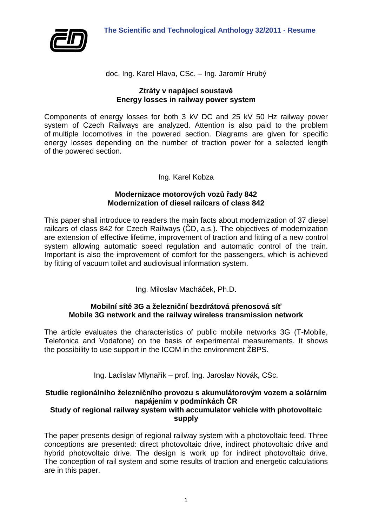

doc. Ing. Karel Hlava, CSc. – Ing. Jaromír Hrubý

#### **Ztráty v napájecí soustavě Energy losses in railway power system**

Components of energy losses for both 3 kV DC and 25 kV 50 Hz railway power system of Czech Railways are analyzed. Attention is also paid to the problem of multiple locomotives in the powered section. Diagrams are given for specific energy losses depending on the number of traction power for a selected length of the powered section.

## Ing. Karel Kobza

### **Modernizace motorových vozů řady 842 Modernization of diesel railcars of class 842**

This paper shall introduce to readers the main facts about modernization of 37 diesel railcars of class 842 for Czech Railways (ČD, a.s.). The objectives of modernization are extension of effective lifetime, improvement of traction and fitting of a new control system allowing automatic speed regulation and automatic control of the train. Important is also the improvement of comfort for the passengers, which is achieved by fitting of vacuum toilet and audiovisual information system.

Ing. Miloslav Macháček, Ph.D.

## **Mobilní sítě 3G a železniční bezdrátová přenosová síť Mobile 3G network and the railway wireless transmission network**

The article evaluates the characteristics of public mobile networks 3G (T-Mobile, Telefonica and Vodafone) on the basis of experimental measurements. It shows the possibility to use support in the ICOM in the environment ŽBPS.

Ing. Ladislav Mlynařík – prof. Ing. Jaroslav Novák, CSc.

# **Studie regionálního železničního provozu s akumulátorovým vozem a solárním napájením v podmínkách ČR**

## **Study of regional railway system with accumulator vehicle with photovoltaic supply**

The paper presents design of regional railway system with a photovoltaic feed. Three conceptions are presented: direct photovoltaic drive, indirect photovoltaic drive and hybrid photovoltaic drive. The design is work up for indirect photovoltaic drive. The conception of rail system and some results of traction and energetic calculations are in this paper.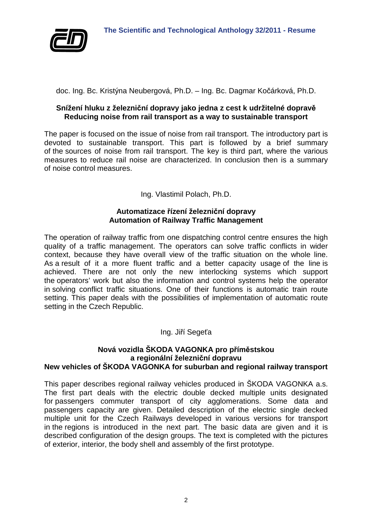

doc. Ing. Bc. Kristýna Neubergová, Ph.D. – Ing. Bc. Dagmar Kočárková, Ph.D.

### **Snížení hluku z železniční dopravy jako jedna z cest k udržitelné dopravě Reducing noise from rail transport as a way to sustainable transport**

The paper is focused on the issue of noise from rail transport. The introductory part is devoted to sustainable transport. This part is followed by a brief summary of the sources of noise from rail transport. The key is third part, where the various measures to reduce rail noise are characterized. In conclusion then is a summary of noise control measures.

Ing. Vlastimil Polach, Ph.D.

## **Automatizace řízení železniční dopravy Automation of Railway Traffic Management**

The operation of railway traffic from one dispatching control centre ensures the high quality of a traffic management. The operators can solve traffic conflicts in wider context, because they have overall view of the traffic situation on the whole line. As a result of it a more fluent traffic and a better capacity usage of the line is achieved. There are not only the new interlocking systems which support the operators' work but also the information and control systems help the operator in solving conflict traffic situations. One of their functions is automatic train route setting. This paper deals with the possibilities of implementation of automatic route setting in the Czech Republic.

Ing. Jiří Segeťa

#### **Nová vozidla ŠKODA VAGONKA pro příměstskou a regionální železniční dopravu New vehicles of ŠKODA VAGONKA for suburban and regional railway transport**

This paper describes regional railway vehicles produced in ŠKODA VAGONKA a.s. The first part deals with the electric double decked multiple units designated for passengers commuter transport of city agglomerations. Some data and passengers capacity are given. Detailed description of the electric single decked multiple unit for the Czech Railways developed in various versions for transport in the regions is introduced in the next part. The basic data are given and it is described configuration of the design groups. The text is completed with the pictures of exterior, interior, the body shell and assembly of the first prototype.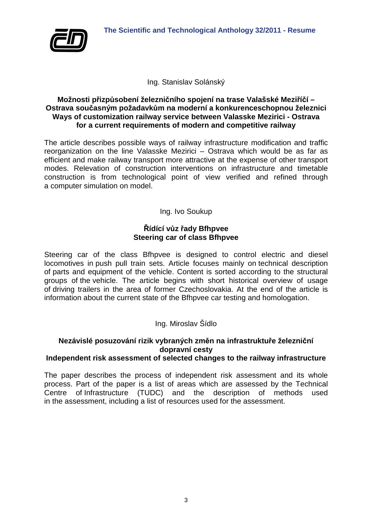

Ing. Stanislav Solánský

## **Možnosti přizpůsobení železničního spojení na trase Valašské Meziříčí – Ostrava současným požadavkům na moderní a konkurenceschopnou železnici Ways of customization railway service between Valasske Mezirici - Ostrava for a current requirements of modern and competitive railway**

The article describes possible ways of railway infrastructure modification and traffic reorganization on the line Valasske Mezirici – Ostrava which would be as far as efficient and make railway transport more attractive at the expense of other transport modes. Relevation of construction interventions on infrastructure and timetable construction is from technological point of view verified and refined through a computer simulation on model.

Ing. Ivo Soukup

## **Řídící vůz řady Bfhpvee Steering car of class Bfhpvee**

Steering car of the class Bfhpvee is designed to control electric and diesel locomotives in push pull train sets. Article focuses mainly on technical description of parts and equipment of the vehicle. Content is sorted according to the structural groups of the vehicle. The article begins with short historical overview of usage of driving trailers in the area of former Czechoslovakia. At the end of the article is information about the current state of the Bfhpvee car testing and homologation.

Ing. Miroslav Šídlo

# **Nezávislé posuzování rizik vybraných změn na infrastruktuře železniční dopravní cesty**

## **Independent risk assessment of selected changes to the railway infrastructure**

The paper describes the process of independent risk assessment and its whole process. Part of the paper is a list of areas which are assessed by the Technical Centre of Infrastructure (TUDC) and the description of methods used in the assessment, including a list of resources used for the assessment.